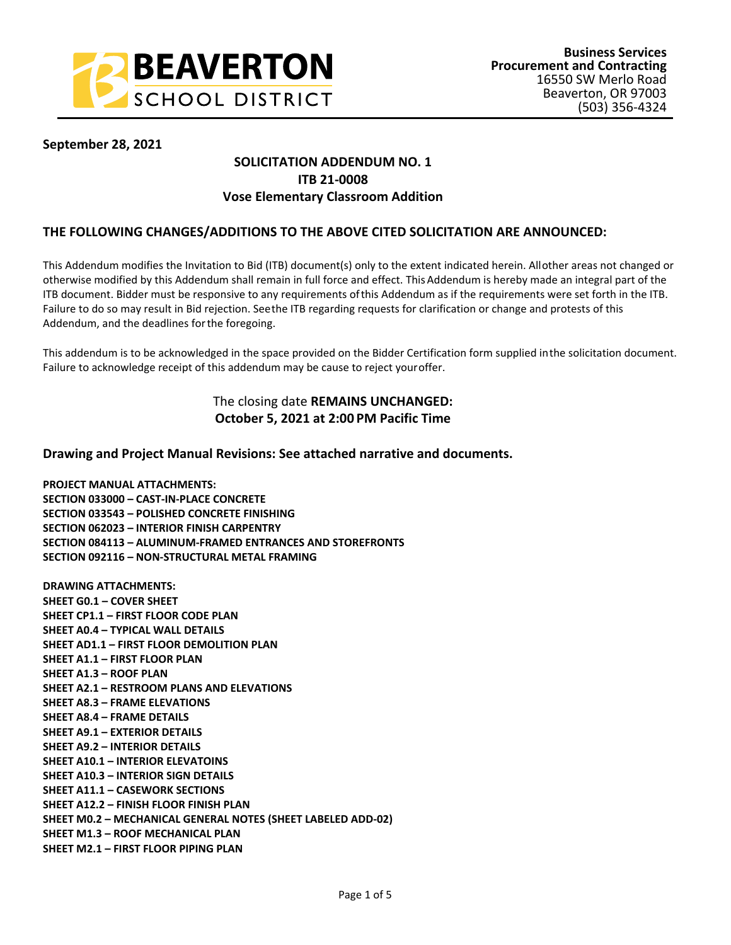

## **September 28, 2021**

# **SOLICITATION ADDENDUM NO. 1 ITB 21-0008 Vose Elementary Classroom Addition**

## **THE FOLLOWING CHANGES/ADDITIONS TO THE ABOVE CITED SOLICITATION ARE ANNOUNCED:**

This Addendum modifies the Invitation to Bid (ITB) document(s) only to the extent indicated herein. All other areas not changed or otherwise modified by this Addendum shall remain in full force and effect. This Addendum is hereby made an integral part of the ITB document. Bidder must be responsive to any requirements of this Addendum as if the requirements were set forth in the ITB. Failure to do so may result in Bid rejection. See the ITB regarding requests for clarification or change and protests of this Addendum, and the deadlines for the foregoing.

This addendum is to be acknowledged in the space provided on the Bidder Certification form supplied in the solicitation document. Failure to acknowledge receipt of this addendum may be cause to reject your offer.

# The closing date **REMAINS UNCHANGED: October 5, 2021 at 2:00 PM Pacific Time**

### **Drawing and Project Manual Revisions: See attached narrative and documents.**

**PROJECT MANUAL ATTACHMENTS: SECTION 033000 – CAST-IN-PLACE CONCRETE SECTION 033543 – POLISHED CONCRETE FINISHING SECTION 062023 – INTERIOR FINISH CARPENTRY SECTION 084113 – ALUMINUM-FRAMED ENTRANCES AND STOREFRONTS SECTION 092116 – NON-STRUCTURAL METAL FRAMING** 

**DRAWING ATTACHMENTS: SHEET G0.1 – COVER SHEET SHEET CP1.1 – FIRST FLOOR CODE PLAN SHEET A0.4 – TYPICAL WALL DETAILS SHEET AD1.1 – FIRST FLOOR DEMOLITION PLAN SHEET A1.1 – FIRST FLOOR PLAN SHEET A1.3 – ROOF PLAN SHEET A2.1 – RESTROOM PLANS AND ELEVATIONS SHEET A8.3 – FRAME ELEVATIONS SHEET A8.4 – FRAME DETAILS SHEET A9.1 – EXTERIOR DETAILS SHEET A9.2 – INTERIOR DETAILS SHEET A10.1 – INTERIOR ELEVATOINS SHEET A10.3 – INTERIOR SIGN DETAILS SHEET A11.1 – CASEWORK SECTIONS SHEET A12.2 – FINISH FLOOR FINISH PLAN SHEET M0.2 – MECHANICAL GENERAL NOTES (SHEET LABELED ADD-02) SHEET M1.3 – ROOF MECHANICAL PLAN SHEET M2.1 – FIRST FLOOR PIPING PLAN**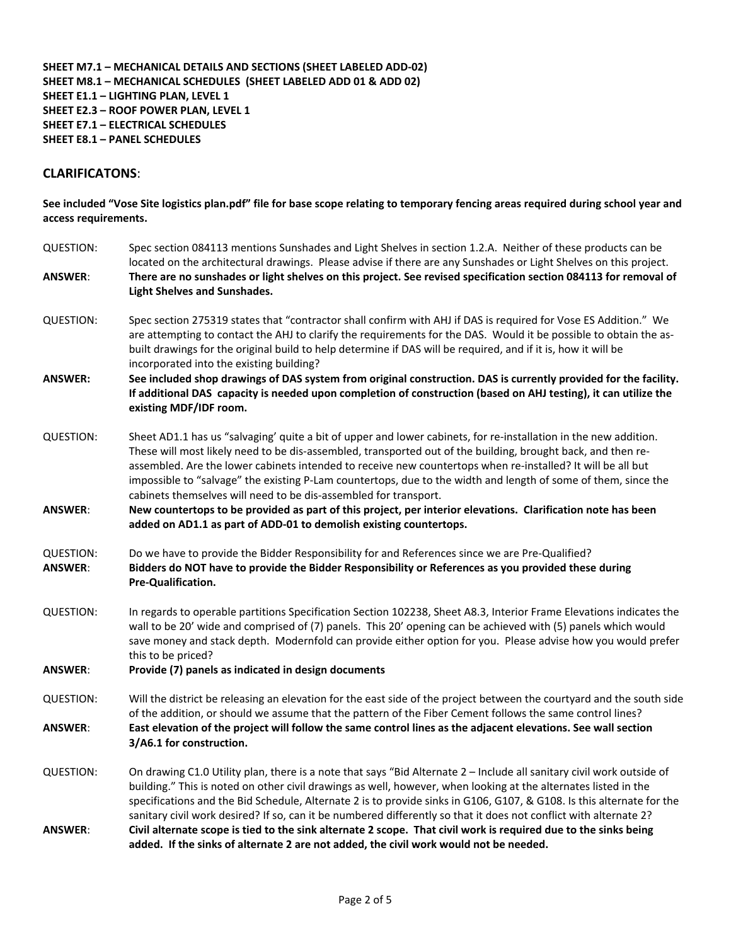#### **SHEET M7.1 – MECHANICAL DETAILS AND SECTIONS (SHEET LABELED ADD-02) SHEET M8.1 – MECHANICAL SCHEDULES (SHEET LABELED ADD 01 & ADD 02) SHEET E1.1 – LIGHTING PLAN, LEVEL 1 SHEET E2.3 – ROOF POWER PLAN, LEVEL 1 SHEET E7.1 – ELECTRICAL SCHEDULES SHEET E8.1 – PANEL SCHEDULES**

## **CLARIFICATONS**:

**See included "Vose Site logistics plan.pdf" file for base scope relating to temporary fencing areas required during school year and access requirements.** 

| <b>QUESTION:</b>                   | Spec section 084113 mentions Sunshades and Light Shelves in section 1.2.A. Neither of these products can be<br>located on the architectural drawings. Please advise if there are any Sunshades or Light Shelves on this project.                                                                                                                                                                                                                                                                                                      |
|------------------------------------|---------------------------------------------------------------------------------------------------------------------------------------------------------------------------------------------------------------------------------------------------------------------------------------------------------------------------------------------------------------------------------------------------------------------------------------------------------------------------------------------------------------------------------------|
| <b>ANSWER:</b>                     | There are no sunshades or light shelves on this project. See revised specification section 084113 for removal of<br>Light Shelves and Sunshades.                                                                                                                                                                                                                                                                                                                                                                                      |
| <b>QUESTION:</b>                   | Spec section 275319 states that "contractor shall confirm with AHJ if DAS is required for Vose ES Addition." We<br>are attempting to contact the AHJ to clarify the requirements for the DAS. Would it be possible to obtain the as-<br>built drawings for the original build to help determine if DAS will be required, and if it is, how it will be<br>incorporated into the existing building?                                                                                                                                     |
| <b>ANSWER:</b>                     | See included shop drawings of DAS system from original construction. DAS is currently provided for the facility.<br>If additional DAS capacity is needed upon completion of construction (based on AHJ testing), it can utilize the<br>existing MDF/IDF room.                                                                                                                                                                                                                                                                         |
| QUESTION:                          | Sheet AD1.1 has us "salvaging' quite a bit of upper and lower cabinets, for re-installation in the new addition.<br>These will most likely need to be dis-assembled, transported out of the building, brought back, and then re-<br>assembled. Are the lower cabinets intended to receive new countertops when re-installed? It will be all but<br>impossible to "salvage" the existing P-Lam countertops, due to the width and length of some of them, since the<br>cabinets themselves will need to be dis-assembled for transport. |
| <b>ANSWER:</b>                     | New countertops to be provided as part of this project, per interior elevations. Clarification note has been<br>added on AD1.1 as part of ADD-01 to demolish existing countertops.                                                                                                                                                                                                                                                                                                                                                    |
| <b>QUESTION:</b><br><b>ANSWER:</b> | Do we have to provide the Bidder Responsibility for and References since we are Pre-Qualified?<br>Bidders do NOT have to provide the Bidder Responsibility or References as you provided these during<br><b>Pre-Qualification.</b>                                                                                                                                                                                                                                                                                                    |
| <b>QUESTION:</b>                   | In regards to operable partitions Specification Section 102238, Sheet A8.3, Interior Frame Elevations indicates the<br>wall to be 20' wide and comprised of (7) panels. This 20' opening can be achieved with (5) panels which would<br>save money and stack depth. Modernfold can provide either option for you. Please advise how you would prefer<br>this to be priced?                                                                                                                                                            |
| <b>ANSWER:</b>                     | Provide (7) panels as indicated in design documents                                                                                                                                                                                                                                                                                                                                                                                                                                                                                   |
| <b>QUESTION:</b>                   | Will the district be releasing an elevation for the east side of the project between the courtyard and the south side<br>of the addition, or should we assume that the pattern of the Fiber Cement follows the same control lines?                                                                                                                                                                                                                                                                                                    |
| <b>ANSWER:</b>                     | East elevation of the project will follow the same control lines as the adjacent elevations. See wall section<br>3/A6.1 for construction.                                                                                                                                                                                                                                                                                                                                                                                             |
| <b>QUESTION:</b>                   | On drawing C1.0 Utility plan, there is a note that says "Bid Alternate 2 - Include all sanitary civil work outside of<br>building." This is noted on other civil drawings as well, however, when looking at the alternates listed in the<br>specifications and the Bid Schedule, Alternate 2 is to provide sinks in G106, G107, & G108. Is this alternate for the<br>sanitary civil work desired? If so, can it be numbered differently so that it does not conflict with alternate 2?                                                |
| <b>ANSWER:</b>                     | Civil alternate scope is tied to the sink alternate 2 scope. That civil work is required due to the sinks being<br>added. If the sinks of alternate 2 are not added, the civil work would not be needed.                                                                                                                                                                                                                                                                                                                              |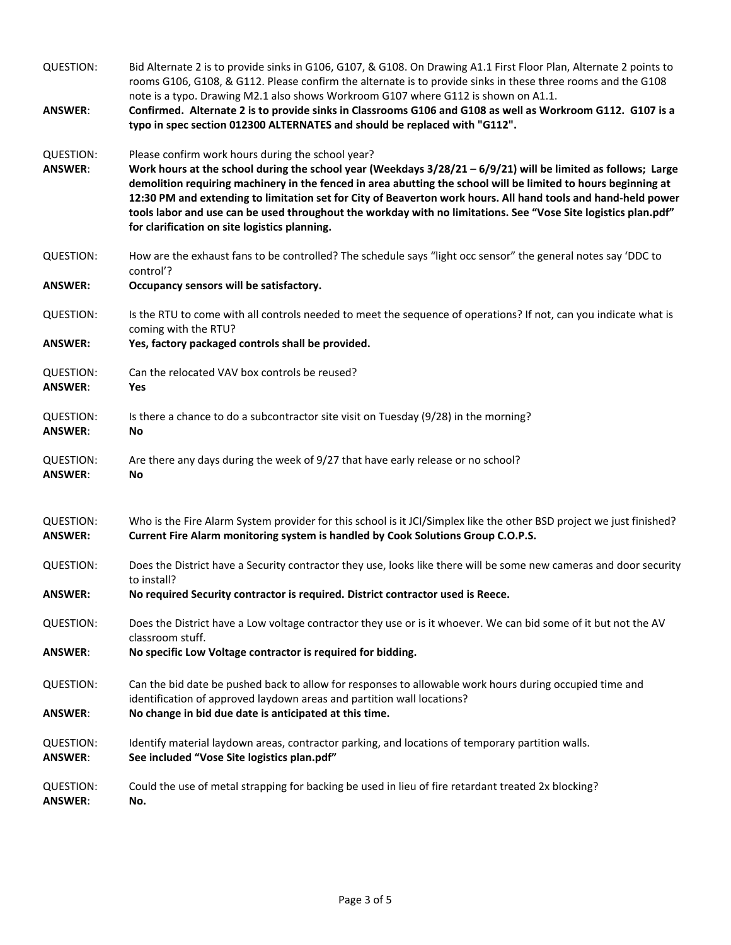| <b>QUESTION:</b>                   | Bid Alternate 2 is to provide sinks in G106, G107, & G108. On Drawing A1.1 First Floor Plan, Alternate 2 points to<br>rooms G106, G108, & G112. Please confirm the alternate is to provide sinks in these three rooms and the G108<br>note is a typo. Drawing M2.1 also shows Workroom G107 where G112 is shown on A1.1.                                                                                                                                                                                                                                                    |
|------------------------------------|-----------------------------------------------------------------------------------------------------------------------------------------------------------------------------------------------------------------------------------------------------------------------------------------------------------------------------------------------------------------------------------------------------------------------------------------------------------------------------------------------------------------------------------------------------------------------------|
| <b>ANSWER:</b>                     | Confirmed. Alternate 2 is to provide sinks in Classrooms G106 and G108 as well as Workroom G112. G107 is a<br>typo in spec section 012300 ALTERNATES and should be replaced with "G112".                                                                                                                                                                                                                                                                                                                                                                                    |
| <b>QUESTION:</b><br><b>ANSWER:</b> | Please confirm work hours during the school year?<br>Work hours at the school during the school year (Weekdays $3/28/21 - 6/9/21$ ) will be limited as follows; Large<br>demolition requiring machinery in the fenced in area abutting the school will be limited to hours beginning at<br>12:30 PM and extending to limitation set for City of Beaverton work hours. All hand tools and hand-held power<br>tools labor and use can be used throughout the workday with no limitations. See "Vose Site logistics plan.pdf"<br>for clarification on site logistics planning. |
| <b>QUESTION:</b>                   | How are the exhaust fans to be controlled? The schedule says "light occ sensor" the general notes say 'DDC to<br>control'?                                                                                                                                                                                                                                                                                                                                                                                                                                                  |
| <b>ANSWER:</b>                     | Occupancy sensors will be satisfactory.                                                                                                                                                                                                                                                                                                                                                                                                                                                                                                                                     |
| <b>QUESTION:</b>                   | Is the RTU to come with all controls needed to meet the sequence of operations? If not, can you indicate what is<br>coming with the RTU?                                                                                                                                                                                                                                                                                                                                                                                                                                    |
| <b>ANSWER:</b>                     | Yes, factory packaged controls shall be provided.                                                                                                                                                                                                                                                                                                                                                                                                                                                                                                                           |
| <b>QUESTION:</b><br><b>ANSWER:</b> | Can the relocated VAV box controls be reused?<br>Yes                                                                                                                                                                                                                                                                                                                                                                                                                                                                                                                        |
| <b>QUESTION:</b><br><b>ANSWER:</b> | Is there a chance to do a subcontractor site visit on Tuesday (9/28) in the morning?<br>No                                                                                                                                                                                                                                                                                                                                                                                                                                                                                  |
| <b>QUESTION:</b><br><b>ANSWER:</b> | Are there any days during the week of 9/27 that have early release or no school?<br>No                                                                                                                                                                                                                                                                                                                                                                                                                                                                                      |
| <b>QUESTION:</b><br><b>ANSWER:</b> | Who is the Fire Alarm System provider for this school is it JCI/Simplex like the other BSD project we just finished?<br>Current Fire Alarm monitoring system is handled by Cook Solutions Group C.O.P.S.                                                                                                                                                                                                                                                                                                                                                                    |
| <b>QUESTION:</b>                   | Does the District have a Security contractor they use, looks like there will be some new cameras and door security<br>to install?                                                                                                                                                                                                                                                                                                                                                                                                                                           |
| <b>ANSWER:</b>                     | No required Security contractor is required. District contractor used is Reece.                                                                                                                                                                                                                                                                                                                                                                                                                                                                                             |
| <b>QUESTION:</b>                   | Does the District have a Low voltage contractor they use or is it whoever. We can bid some of it but not the AV<br>classroom stuff.                                                                                                                                                                                                                                                                                                                                                                                                                                         |
| <b>ANSWER:</b>                     | No specific Low Voltage contractor is required for bidding.                                                                                                                                                                                                                                                                                                                                                                                                                                                                                                                 |
| <b>QUESTION:</b>                   | Can the bid date be pushed back to allow for responses to allowable work hours during occupied time and<br>identification of approved laydown areas and partition wall locations?                                                                                                                                                                                                                                                                                                                                                                                           |
| <b>ANSWER:</b>                     | No change in bid due date is anticipated at this time.                                                                                                                                                                                                                                                                                                                                                                                                                                                                                                                      |
| <b>QUESTION:</b><br><b>ANSWER:</b> | Identify material laydown areas, contractor parking, and locations of temporary partition walls.<br>See included "Vose Site logistics plan.pdf"                                                                                                                                                                                                                                                                                                                                                                                                                             |
| <b>QUESTION:</b><br><b>ANSWER:</b> | Could the use of metal strapping for backing be used in lieu of fire retardant treated 2x blocking?<br>No.                                                                                                                                                                                                                                                                                                                                                                                                                                                                  |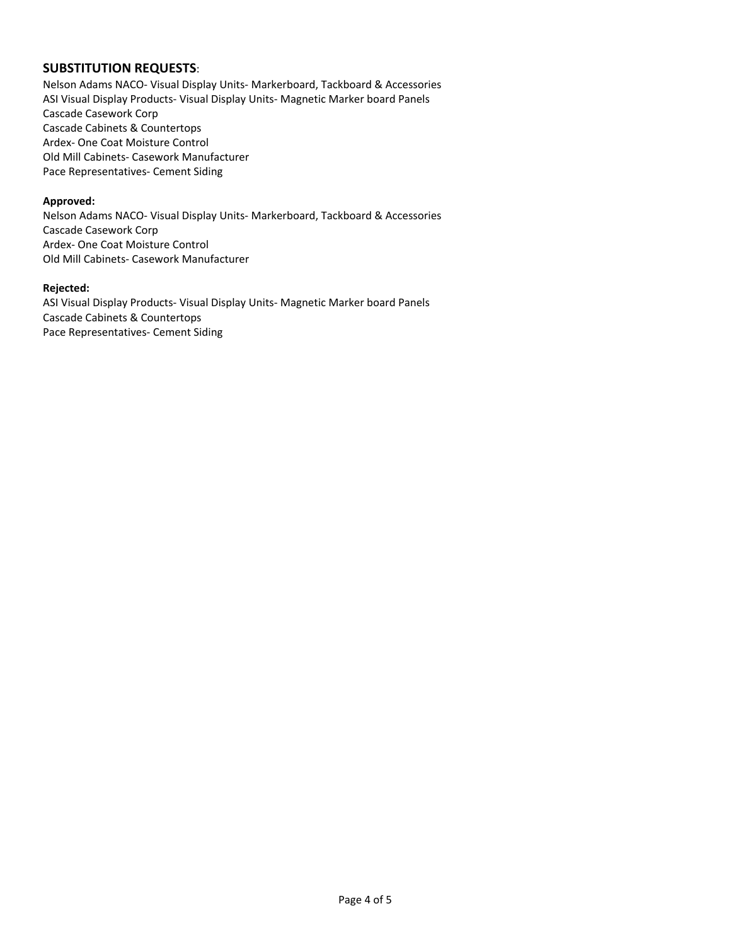## **SUBSTITUTION REQUESTS**:

Nelson Adams NACO- Visual Display Units- Markerboard, Tackboard & Accessories ASI Visual Display Products- Visual Display Units- Magnetic Marker board Panels Cascade Casework Corp Cascade Cabinets & Countertops Ardex- One Coat Moisture Control Old Mill Cabinets- Casework Manufacturer Pace Representatives- Cement Siding

#### **Approved:**

Nelson Adams NACO- Visual Display Units- Markerboard, Tackboard & Accessories Cascade Casework Corp Ardex- One Coat Moisture Control Old Mill Cabinets- Casework Manufacturer

#### **Rejected:**

ASI Visual Display Products- Visual Display Units- Magnetic Marker board Panels Cascade Cabinets & Countertops Pace Representatives- Cement Siding